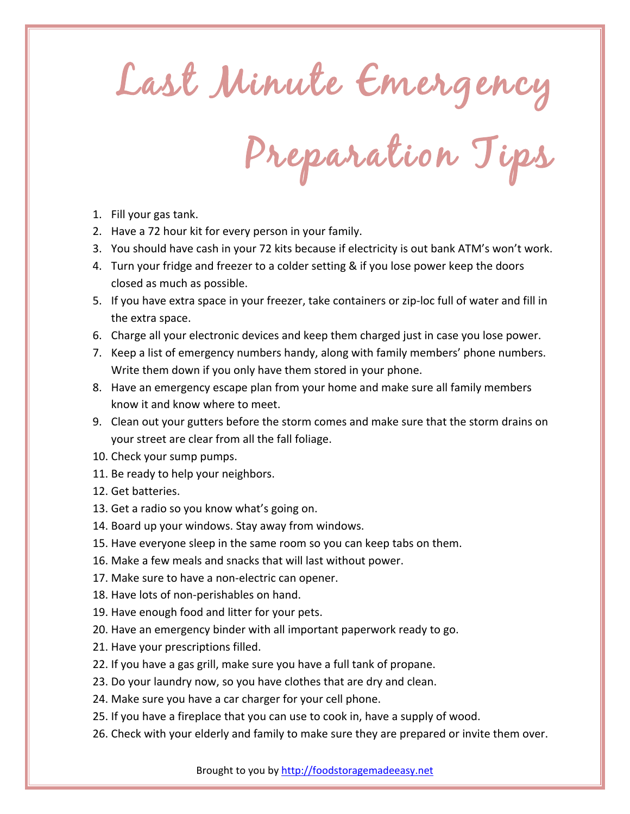Last Minute Emergency

Preparation Tips

- 1. Fill your gas tank.
- 2. Have a 72 hour kit for every person in your family.
- 3. You should have cash in your 72 kits because if electricity is out bank ATM's won't work.
- 4. Turn your fridge and freezer to a colder setting & if you lose power keep the doors closed as much as possible.
- 5. If you have extra space in your freezer, take containers or zip-loc full of water and fill in the extra space.
- 6. Charge all your electronic devices and keep them charged just in case you lose power.
- 7. Keep a list of emergency numbers handy, along with family members' phone numbers. Write them down if you only have them stored in your phone.
- 8. Have an emergency escape plan from your home and make sure all family members know it and know where to meet.
- 9. Clean out your gutters before the storm comes and make sure that the storm drains on your street are clear from all the fall foliage.
- 10. Check your sump pumps.
- 11. Be ready to help your neighbors.
- 12. Get batteries.
- 13. Get a radio so you know what's going on.
- 14. Board up your windows. Stay away from windows.
- 15. Have everyone sleep in the same room so you can keep tabs on them.
- 16. Make a few meals and snacks that will last without power.
- 17. Make sure to have a non-electric can opener.
- 18. Have lots of non-perishables on hand.
- 19. Have enough food and litter for your pets.
- 20. Have an emergency binder with all important paperwork ready to go.
- 21. Have your prescriptions filled.
- 22. If you have a gas grill, make sure you have a full tank of propane.
- 23. Do your laundry now, so you have clothes that are dry and clean.
- 24. Make sure you have a car charger for your cell phone.
- 25. If you have a fireplace that you can use to cook in, have a supply of wood.
- 26. Check with your elderly and family to make sure they are prepared or invite them over.

Brought to you by http://foodstoragemadeeasy.net